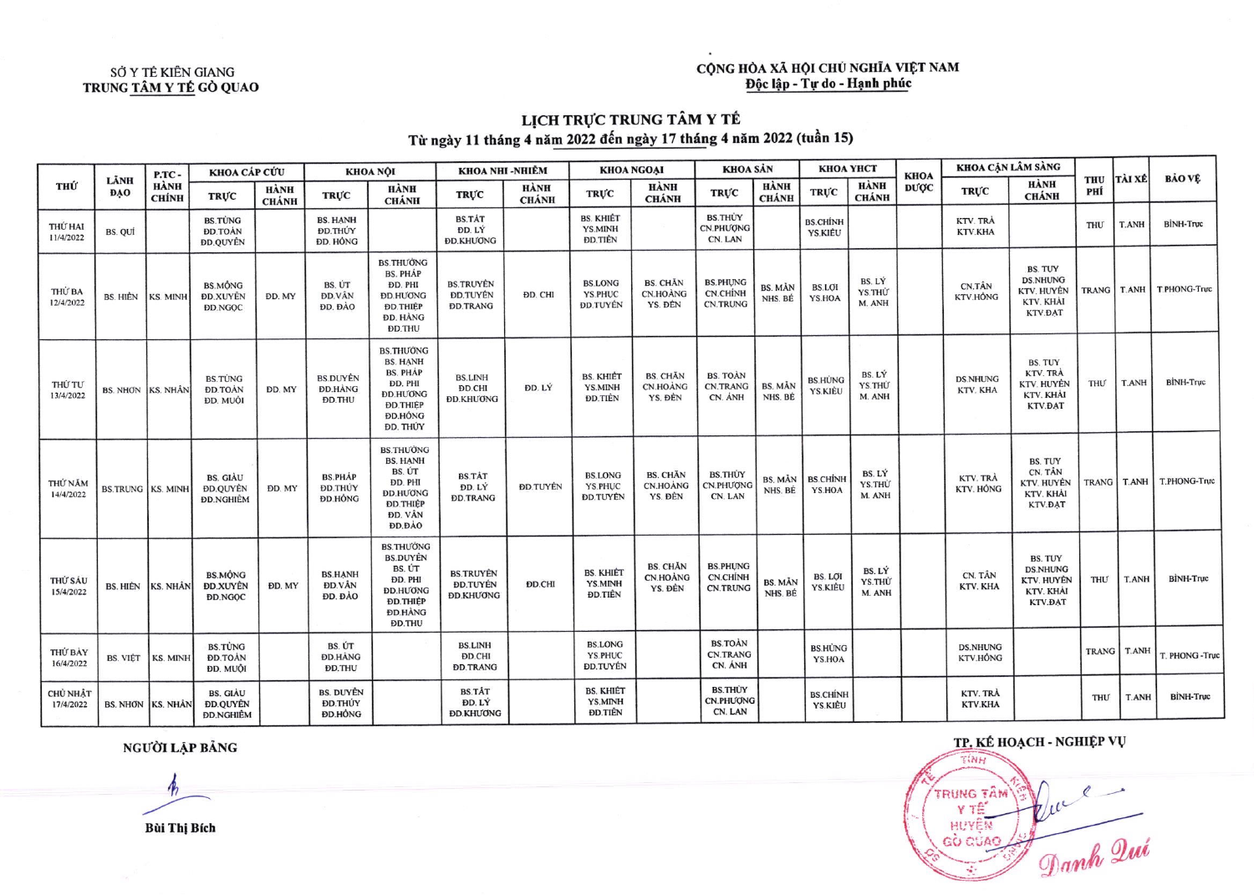## CỘNG HÒA XÃ HỘI CHỦ NGHĨA VIỆT NAM<br>Độc lập - Tự do - Hạnh phúc

#### SỞ Y TẾ KIẾN GIANG TRUNG TÂM Y TẾ GỒ QUAO

# LỊCH TRỰC TRUNG TÂM Y TẾ<br>Từ ngày 11 tháng 4 năm 2022 đến ngày 17 tháng 4 năm 2022 (tuần 15)

| тни                          | LÄNH<br><b>DAO</b>       | P.TC-<br><b>HÀNH</b><br><b>CHÍNH</b> | KHOA CÁP CỨU                                           |                             | KHOA NỘI                                           |                                                                                                                                       | KHOA NHI -NHIỀM                                                      |                      | <b>KHOA NGOẠI</b>                                   |                                               | <b>KHOA SÁN</b>                                       |                             | КНОА ҮНСТ                  |                            | <b>KHOA</b> | KHOA CẬN LÂM SÀNG           |                                                                                |                   |               |                              |
|------------------------------|--------------------------|--------------------------------------|--------------------------------------------------------|-----------------------------|----------------------------------------------------|---------------------------------------------------------------------------------------------------------------------------------------|----------------------------------------------------------------------|----------------------|-----------------------------------------------------|-----------------------------------------------|-------------------------------------------------------|-----------------------------|----------------------------|----------------------------|-------------|-----------------------------|--------------------------------------------------------------------------------|-------------------|---------------|------------------------------|
|                              |                          |                                      | <b>TRUC</b>                                            | <b>HÀNH</b><br><b>CHÁNH</b> | <b>TRUC</b>                                        | <b>HÀNH</b><br><b>CHÁNH</b>                                                                                                           | <b>TRUC</b>                                                          | HÀNH<br><b>CHÁNH</b> | <b>TRUC</b>                                         | HÀNH<br><b>CHÁNH</b>                          | <b>TRUC</b>                                           | <b>HÀNH</b><br><b>CHÁNH</b> | <b>TRUC</b>                | HÀNH<br><b>CHÁNH</b>       | <b>DUOC</b> | <b>TRUC</b>                 | <b>HÀNH</b><br><b>CHÁNH</b>                                                    | <b>THU</b><br>PHÍ | <b>TÀI XÉ</b> | <b>BẢO VỀ</b>                |
| THỨ HAI<br>11/4/2022         | BS. QUI                  |                                      | <b>BS.TÜNG</b><br><b>ĐD.TOÀN</b><br><b>DD.QUYÊN</b>    |                             | <b>BS. HANH</b><br>ĐD.THÚY<br>ĐD. HỒNG             |                                                                                                                                       | <b>BS.TÅT</b><br>ĐD. LÝ<br><b>ĐD.KHƯƠNG</b>                          |                      | <b>BS. KHIÉT</b><br>YS.MINH<br><b>ĐD.TIÊN</b>       |                                               | <b>BS.THÚY</b><br><b>CN.PHUONG</b><br>CN. LAN         |                             | <b>BS.CHÍNH</b><br>YS.KIĖU |                            |             | KTV. TRÀ<br>KTV.KHA         |                                                                                | <b>THU</b>        | <b>T.ANH</b>  | <b>BİNH-Truc</b>             |
| THỦ BA<br>12/4/2022          | <b>BS. HIÈN</b>          | KS. MINH                             | <b>BS.MÔNG</b><br><b>ĐD.XUYÊN</b><br><b>DD.NGOC</b>    | DD. MY                      | BS. ÚT<br><b>DD.VÂN</b><br><b>DD.</b> DAO          | <b>BS.THUONG</b><br><b>BS. PHÁP</b><br>ĐD. PHI<br><b>ĐD.HUONG</b><br><b>ĐD.THIỆP</b><br><b>ĐD. HÀNG</b><br><b>DD.THU</b>              | <b>BS.TRUYĖN</b><br><b>DD.TUYÊN</b><br><b><i><u>DD.TRANG</u></i></b> | ĐD. CHI              | <b>BS.LONG</b><br><b>YS.PHUC</b><br><b>ĐD.TUYÊN</b> | <b>BS. CHĂN</b><br>CN.HOANG<br>YS. DÊN        | <b>BS.PHUNG</b><br><b>CN.CHINH</b><br><b>CN.TRUNG</b> | <b>BS. MÅN</b><br>NHS. BÉ   | <b>BS.LOI</b><br>YS.HOA    | BS. LÝ<br>YS.THU<br>M. ANH |             | CN.TÂN<br>KTV.HÔNG          | <b>BS. TUY</b><br><b>DS.NHUNG</b><br>KTV. HUYÊN<br>KTV. KHÀI<br><b>KTV.DAT</b> |                   |               | TRANG   T.ANH   T.PHONG-Truc |
| THỨ TƯ<br>13/4/2022          | BS. NHƠN KS. NHÂN        |                                      | <b>BS.TÙNG</b><br><b>ĐD.TOÀN</b><br>ĐD. MUỘI           | DD. MY                      | <b>BS.DUYÊN</b><br><b>DD.HANG</b><br><b>DD.THU</b> | <b>BS.THUONG</b><br><b>BS. HANH</b><br><b>BS. PHÁP</b><br>DD. PHI<br><b><i>DD.HUONG</i></b><br><b>ĐD.THIỆP</b><br>ĐD.HÔNG<br>ĐD. THỦY | <b>BS.LINH</b><br>ĐD.CHI<br><b>DD.KHUONG</b>                         | ĐD. LÝ               | <b>BS. KHIET</b><br>YS.MINH<br><b>DD.TIÊN</b>       | <b>BS. CHĂN</b><br>CN.HOANG<br>YS. ĐẾN        | <b>BS. TOAN</b><br><b>CN.TRANG</b><br>CN. ANH         | BS. MÅN<br>NHS. BÉ          | <b>BS.HUNG</b><br>YS.KIĖU  | BS. LÝ<br>YS.THU<br>M. ANH |             | <b>DS.NHUNG</b><br>KTV. KHA | <b>BS. TUY</b><br>KTV. TRÀ<br>KTV. HUYÊN<br>KTV. KHÅI<br><b>KTV.DAT</b>        | THƯ               | <b>T.ANH</b>  | BİNH-Truc                    |
| THỨ NĂM<br>14/4/2022         | <b>BS.TRUNG KS. MINH</b> |                                      | <b>BS. GIÀU</b><br><b>DD.QUYÊN</b><br><b>ĐD.NGHIÊM</b> | ĐD. MY                      | <b>BS.PHAP</b><br><b>ĐD.THỦY</b><br>ĐD.HÔNG        | <b>BS.THUONG</b><br><b>BS. HANH</b><br>BS. ÚT<br><b>DD. PHI</b><br><b>DD.HUONG</b><br><b>ĐD.THIỆP</b><br>ĐD. VÂN<br>ĐD.ĐÀO            | <b>BS.TÅT</b><br>ĐD. LÝ<br><b><i><u>DD.TRANG</u></i></b>             | <b>DD.TUYÊN</b>      | <b>BS.LONG</b><br>YS.PHUC<br><b>ĐD.TUYÊN</b>        | <b>BS. CHAN</b><br><b>CN.HOÀNG</b><br>YS. ĐẾN | <b>BS.THUY</b><br>CN.PHUQNG<br>CN. LAN                | BS. MÅN<br>NHS. BÉ          | <b>BS.CHİNH</b><br>YS.HOA  | BS. LÝ<br>YS.THU<br>M. ANH |             | KTV. TRÀ<br>KTV. HÔNG       | <b>BS. TUY</b><br>CN. TÂN<br>KTV. HUYÊN<br>KTV. KHAI<br>KTV.DAT                | <b>TRANG</b>      | T.ANH         | T.PHONG-Truc                 |
| THỨ SÁU<br>15/4/2022         | <b>BS. HIÊN</b>          | <b>KS. NHÂN</b>                      | <b>BS.MÔNG</b><br><b>ĐD.XUYÊN</b><br><b>DD.NGOC</b>    | <b>DD. MY</b>               | <b>BS.HANH</b><br><b>ĐD.VÂN</b><br><b>DD.</b> DAO  | <b>BS.THUONG</b><br><b>BS.DUYÊN</b><br>BS. ÚT<br>DD. PHI<br><b>ĐD.HƯƠNG</b><br><b>ĐD.THIỆP</b><br><b>ĐD.HÀNG</b><br><b>DD.THU</b>     | <b>BS.TRUYÈN</b><br><b>ĐD.TUYÊN</b><br><b>ĐD.KHƯƠNG</b>              | <b>DD.CHI</b>        | <b>BS. KHIẾT</b><br>YS.MINH<br>ĐD.TIÊN              | <b>BS. CHĂN</b><br>CN.HOÀNG<br>YS. ĐẾN        | <b>BS.PHUNG</b><br>CN.CHÍNH<br><b>CN.TRUNG</b>        | <b>BS. MÅN</b><br>NHS. BÉ   | BS. LOI<br>YS.KIĖU         | BS. LÝ<br>YS.THU<br>M. ANH |             | CN. TÂN<br>KTV. KHA         | <b>BS. TUY</b><br><b>DS.NHUNG</b><br>KTV. HUYÊN<br>KTV. KHAI<br><b>KTV.DAT</b> | THƯ               | T.ANH         | <b>BİNH-Truc</b>             |
| THỦ BÀY<br>16/4/2022         | <b>BS. VIÊT</b>          | KS. MINH                             | <b>BS.TÙNG</b><br><b>DD.TOAN</b><br>ĐD. MUỘI           |                             | BS. ÚT<br>ĐD.HÀNG<br><b>ĐD.THU</b>                 |                                                                                                                                       | <b>BS.LINH</b><br><b>ĐD.CHI</b><br><b><i><u>DD.TRANG</u></i></b>     |                      | <b>BS.LONG</b><br>YS.PHUC<br><b>DD.TUYĖN</b>        |                                               | <b>BS.TOAN</b><br><b>CN.TRANG</b><br>CN. ANH          |                             | <b>BS.HÙNG</b><br>YS.HOA   |                            |             | <b>DS.NHUNG</b><br>KTV.HÔNG |                                                                                |                   |               | TRANG T.ANH T. PHONG -True   |
| <b>CHỦ NHẬT</b><br>17/4/2022 | BS. NHƠN KS. NHÂN        |                                      | <b>BS. GIÀU</b><br><b>ĐD.QUYÊN</b><br><b>ĐD.NGHIÊM</b> |                             | <b>BS. DUYÊN</b><br><b>ĐD.THÚY</b><br>ĐD.HÔNG      |                                                                                                                                       | <b>BS.TÅT</b><br>ĐD. LÝ<br><b>DD.KHUONG</b>                          |                      | <b>BS. KHIÉT</b><br>YS.MINH<br><b>ĐD.TIÊN</b>       |                                               | <b>BS.THUY</b><br><b>CN.PHUONG</b><br>CN. LAN         |                             | <b>BS.CHINH</b><br>YS.KIÈU |                            |             | KTV. TRA<br>KTV.KHA         |                                                                                | THƯ               | <b>T.ANH</b>  | <b>BINH-Truc</b>             |

NGƯỜI LẬP BẢNG

 $\frac{1}{2}$ 

Bùi Thị Bích

TP. KÉ HOẠCH - NGHIỆP VỤ  $T(MH)$ TRUNG TÂM  $\psi/\mu$ Danh Que